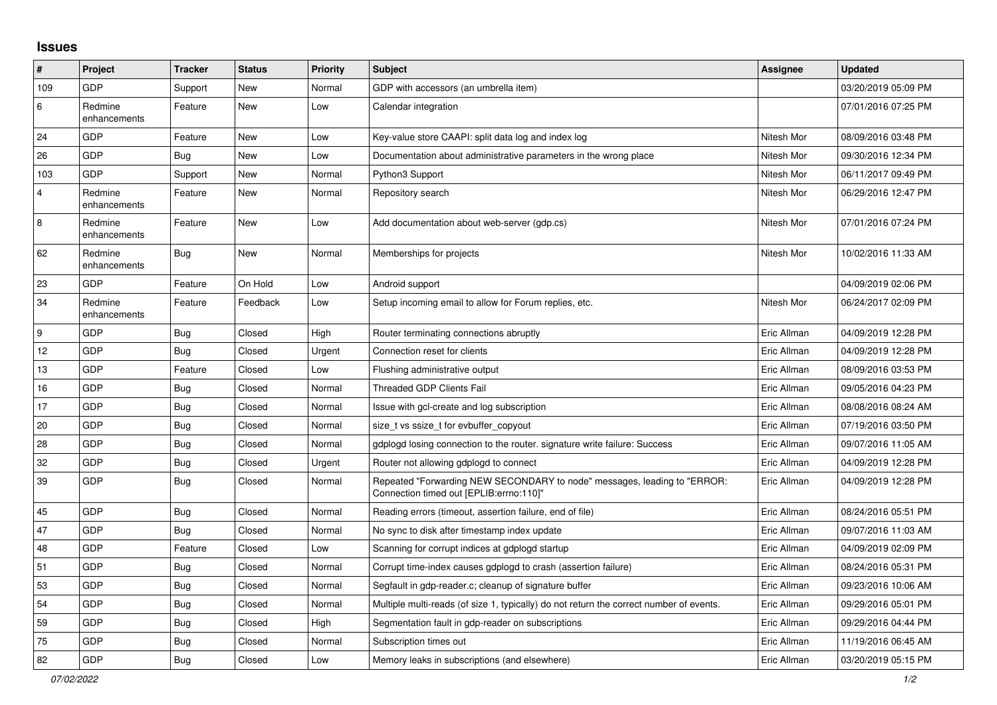## **Issues**

| #   | Project                 | <b>Tracker</b> | <b>Status</b> | <b>Priority</b> | <b>Subject</b>                                                                                                      | <b>Assignee</b> | <b>Updated</b>      |
|-----|-------------------------|----------------|---------------|-----------------|---------------------------------------------------------------------------------------------------------------------|-----------------|---------------------|
| 109 | GDP                     | Support        | New           | Normal          | GDP with accessors (an umbrella item)                                                                               |                 | 03/20/2019 05:09 PM |
| 6   | Redmine<br>enhancements | Feature        | <b>New</b>    | Low             | Calendar integration                                                                                                |                 | 07/01/2016 07:25 PM |
| 24  | <b>GDP</b>              | Feature        | <b>New</b>    | Low             | Key-value store CAAPI: split data log and index log                                                                 | Nitesh Mor      | 08/09/2016 03:48 PM |
| 26  | GDP                     | <b>Bug</b>     | <b>New</b>    | Low             | Documentation about administrative parameters in the wrong place                                                    | Nitesh Mor      | 09/30/2016 12:34 PM |
| 103 | GDP                     | Support        | <b>New</b>    | Normal          | Python3 Support                                                                                                     | Nitesh Mor      | 06/11/2017 09:49 PM |
| 4   | Redmine<br>enhancements | Feature        | New           | Normal          | Repository search                                                                                                   | Nitesh Mor      | 06/29/2016 12:47 PM |
| 8   | Redmine<br>enhancements | Feature        | New           | Low             | Add documentation about web-server (gdp.cs)                                                                         | Nitesh Mor      | 07/01/2016 07:24 PM |
| 62  | Redmine<br>enhancements | <b>Bug</b>     | <b>New</b>    | Normal          | Memberships for projects                                                                                            | Nitesh Mor      | 10/02/2016 11:33 AM |
| 23  | GDP                     | Feature        | On Hold       | Low             | Android support                                                                                                     |                 | 04/09/2019 02:06 PM |
| 34  | Redmine<br>enhancements | Feature        | Feedback      | Low             | Setup incoming email to allow for Forum replies, etc.                                                               | Nitesh Mor      | 06/24/2017 02:09 PM |
| 9   | GDP                     | Bug            | Closed        | High            | Router terminating connections abruptly                                                                             | Eric Allman     | 04/09/2019 12:28 PM |
| 12  | GDP                     | Bug            | Closed        | Urgent          | Connection reset for clients                                                                                        | Eric Allman     | 04/09/2019 12:28 PM |
| 13  | GDP                     | Feature        | Closed        | Low             | Flushing administrative output                                                                                      | Eric Allman     | 08/09/2016 03:53 PM |
| 16  | <b>GDP</b>              | Bug            | Closed        | Normal          | <b>Threaded GDP Clients Fail</b>                                                                                    | Eric Allman     | 09/05/2016 04:23 PM |
| 17  | GDP                     | Bug            | Closed        | Normal          | Issue with gcl-create and log subscription                                                                          | Eric Allman     | 08/08/2016 08:24 AM |
| 20  | GDP                     | <b>Bug</b>     | Closed        | Normal          | size t vs ssize t for evbuffer copyout                                                                              | Eric Allman     | 07/19/2016 03:50 PM |
| 28  | GDP                     | <b>Bug</b>     | Closed        | Normal          | gdplogd losing connection to the router. signature write failure: Success                                           | Eric Allman     | 09/07/2016 11:05 AM |
| 32  | GDP                     | <b>Bug</b>     | Closed        | Urgent          | Router not allowing gdplogd to connect                                                                              | Eric Allman     | 04/09/2019 12:28 PM |
| 39  | <b>GDP</b>              | <b>Bug</b>     | Closed        | Normal          | Repeated "Forwarding NEW SECONDARY to node" messages, leading to "ERROR:<br>Connection timed out [EPLIB:errno:110]" | Eric Allman     | 04/09/2019 12:28 PM |
| 45  | GDP                     | <b>Bug</b>     | Closed        | Normal          | Reading errors (timeout, assertion failure, end of file)                                                            | Eric Allman     | 08/24/2016 05:51 PM |
| 47  | GDP                     | Bug            | Closed        | Normal          | No sync to disk after timestamp index update                                                                        | Eric Allman     | 09/07/2016 11:03 AM |
| 48  | GDP                     | Feature        | Closed        | Low             | Scanning for corrupt indices at gdplogd startup                                                                     | Eric Allman     | 04/09/2019 02:09 PM |
| 51  | <b>GDP</b>              | Bug            | Closed        | Normal          | Corrupt time-index causes gdplogd to crash (assertion failure)                                                      | Eric Allman     | 08/24/2016 05:31 PM |
| 53  | GDP                     | Bug            | Closed        | Normal          | Segfault in gdp-reader.c; cleanup of signature buffer                                                               | Eric Allman     | 09/23/2016 10:06 AM |
| 54  | <b>GDP</b>              | <b>Bug</b>     | Closed        | Normal          | Multiple multi-reads (of size 1, typically) do not return the correct number of events.                             | Eric Allman     | 09/29/2016 05:01 PM |
| 59  | GDP                     | <b>Bug</b>     | Closed        | High            | Segmentation fault in gdp-reader on subscriptions                                                                   | Eric Allman     | 09/29/2016 04:44 PM |
| 75  | GDP                     | <b>Bug</b>     | Closed        | Normal          | Subscription times out                                                                                              | Eric Allman     | 11/19/2016 06:45 AM |
| 82  | GDP                     | <b>Bug</b>     | Closed        | Low             | Memory leaks in subscriptions (and elsewhere)                                                                       | Eric Allman     | 03/20/2019 05:15 PM |